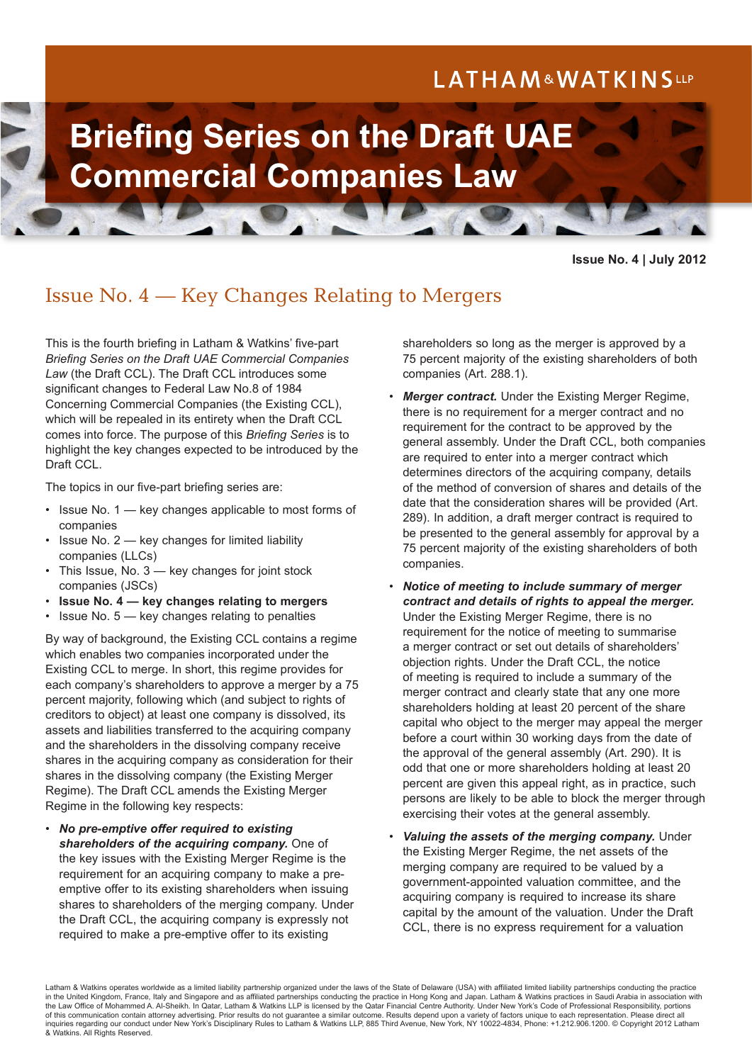# LATHAM&WATKINSLLP



**Issue No. 4 | July 2012**

## Issue No. 4 — Key Changes Relating to Mergers

This is the fourth briefing in Latham & Watkins' five-part *Briefing Series on the Draft UAE Commercial Companies Law* (the Draft CCL). The Draft CCL introduces some significant changes to Federal Law No.8 of 1984 Concerning Commercial Companies (the Existing CCL), which will be repealed in its entirety when the Draft CCL comes into force. The purpose of this *Briefing Series* is to highlight the key changes expected to be introduced by the Draft CCL.

The topics in our five-part briefing series are:

- Issue No. 1 key changes applicable to most forms of companies
- Issue No. 2 key changes for limited liability companies (LLCs)
- This Issue, No. 3 key changes for joint stock companies (JSCs)
- **Issue No. 4 key changes relating to mergers**
- Issue No. 5 key changes relating to penalties

By way of background, the Existing CCL contains a regime which enables two companies incorporated under the Existing CCL to merge. In short, this regime provides for each company's shareholders to approve a merger by a 75 percent majority, following which (and subject to rights of creditors to object) at least one company is dissolved, its assets and liabilities transferred to the acquiring company and the shareholders in the dissolving company receive shares in the acquiring company as consideration for their shares in the dissolving company (the Existing Merger Regime). The Draft CCL amends the Existing Merger Regime in the following key respects:

• *No pre-emptive offer required to existing shareholders of the acquiring company.* One of the key issues with the Existing Merger Regime is the requirement for an acquiring company to make a preemptive offer to its existing shareholders when issuing shares to shareholders of the merging company. Under the Draft CCL, the acquiring company is expressly not required to make a pre-emptive offer to its existing

shareholders so long as the merger is approved by a 75 percent majority of the existing shareholders of both companies (Art. 288.1).

- **Merger contract.** Under the Existing Merger Regime, there is no requirement for a merger contract and no requirement for the contract to be approved by the general assembly. Under the Draft CCL, both companies are required to enter into a merger contract which determines directors of the acquiring company, details of the method of conversion of shares and details of the date that the consideration shares will be provided (Art. 289). In addition, a draft merger contract is required to be presented to the general assembly for approval by a 75 percent majority of the existing shareholders of both companies.
- *Notice of meeting to include summary of merger contract and details of rights to appeal the merger.*  Under the Existing Merger Regime, there is no requirement for the notice of meeting to summarise a merger contract or set out details of shareholders' objection rights. Under the Draft CCL, the notice of meeting is required to include a summary of the merger contract and clearly state that any one more shareholders holding at least 20 percent of the share capital who object to the merger may appeal the merger before a court within 30 working days from the date of the approval of the general assembly (Art. 290). It is odd that one or more shareholders holding at least 20 percent are given this appeal right, as in practice, such persons are likely to be able to block the merger through exercising their votes at the general assembly.
- *Valuing the assets of the merging company.* Under the Existing Merger Regime, the net assets of the merging company are required to be valued by a government-appointed valuation committee, and the acquiring company is required to increase its share capital by the amount of the valuation. Under the Draft CCL, there is no express requirement for a valuation

Latham & Watkins operates worldwide as a limited liability partnership organized under the laws of the State of Delaware (USA) with affiliated limited liability partnerships conducting the practice in the United Kingdom, France, Italy and Singapore and as affiliated partnerships conducting the practice in Hong Kong and Japan. Latham & Watkins practices in Saudi Arabia in association with the Law Office of Mohammed A. Al-Sheikh. In Qatar, Latham & Watkins LLP is licensed by the Qatar Financial Centre Authority. Under New York's Code of Professional Responsibility, portions of this communication contain attorney advertising. Prior results do not guarantee a similar outcome. Results depend upon a variety of factors unique to each representation. Please direct all inquiries regarding our conduct under New York's Disciplinary Rules to Latham & Watkins LLP, 885 Third Avenue, New York, NY 10022-4834, Phone: +1.212.906.1200. © Copyright 2012 Latham & Watkins. All Rights Reserved.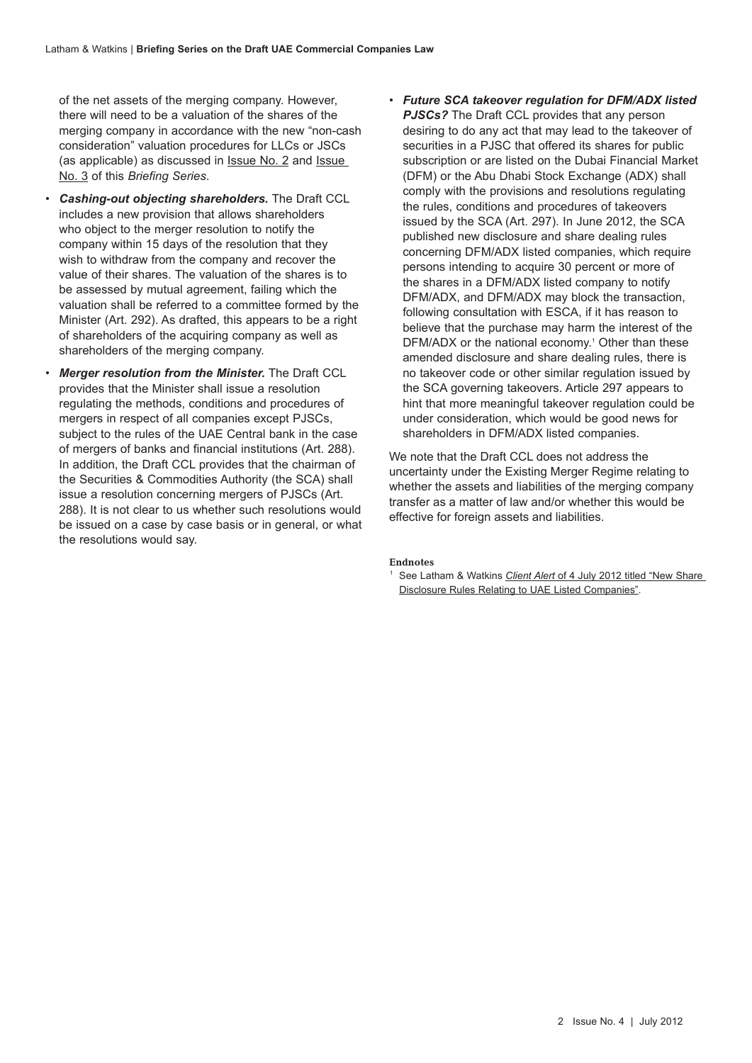of the net assets of the merging company. However, there will need to be a valuation of the shares of the merging company in accordance with the new "non-cash consideration" valuation procedures for LLCs or JSCs (as applicable) as discussed in [Issue No. 2](http://www.lw.com/thoughtLeadership/key-changes-for-llcs-in-draft-uae-commercial-companies-law) and [Issue](http://www.lw.com/thoughtLeadership/briefing-series-issue-no-3-key-changes-for-joint-stock-companies)  [No. 3](http://www.lw.com/thoughtLeadership/briefing-series-issue-no-3-key-changes-for-joint-stock-companies) of this *Briefing Series*.

- *Cashing-out objecting shareholders.* The Draft CCL includes a new provision that allows shareholders who object to the merger resolution to notify the company within 15 days of the resolution that they wish to withdraw from the company and recover the value of their shares. The valuation of the shares is to be assessed by mutual agreement, failing which the valuation shall be referred to a committee formed by the Minister (Art. 292). As drafted, this appears to be a right of shareholders of the acquiring company as well as shareholders of the merging company.
- *Merger resolution from the Minister.* The Draft CCL provides that the Minister shall issue a resolution regulating the methods, conditions and procedures of mergers in respect of all companies except PJSCs, subject to the rules of the UAE Central bank in the case of mergers of banks and financial institutions (Art. 288). In addition, the Draft CCL provides that the chairman of the Securities & Commodities Authority (the SCA) shall issue a resolution concerning mergers of PJSCs (Art. 288). It is not clear to us whether such resolutions would be issued on a case by case basis or in general, or what the resolutions would say.
- *Future SCA takeover regulation for DFM/ADX listed PJSCs?* The Draft CCL provides that any person desiring to do any act that may lead to the takeover of securities in a PJSC that offered its shares for public subscription or are listed on the Dubai Financial Market (DFM) or the Abu Dhabi Stock Exchange (ADX) shall comply with the provisions and resolutions regulating the rules, conditions and procedures of takeovers issued by the SCA (Art. 297). In June 2012, the SCA published new disclosure and share dealing rules concerning DFM/ADX listed companies, which require persons intending to acquire 30 percent or more of the shares in a DFM/ADX listed company to notify DFM/ADX, and DFM/ADX may block the transaction, following consultation with ESCA, if it has reason to believe that the purchase may harm the interest of the DFM/ADX or the national economy.<sup>1</sup> Other than these amended disclosure and share dealing rules, there is no takeover code or other similar regulation issued by the SCA governing takeovers. Article 297 appears to hint that more meaningful takeover regulation could be under consideration, which would be good news for shareholders in DFM/ADX listed companies.

We note that the Draft CCL does not address the uncertainty under the Existing Merger Regime relating to whether the assets and liabilities of the merging company transfer as a matter of law and/or whether this would be effective for foreign assets and liabilities.

#### **Endnotes**

<sup>1</sup> See Latham & Watkins *Client Alert* of 4 July 2012 titled "New Share [Disclosure Rules Relating to UAE Listed Companies".](http://www.lw.com/thoughtLeadership/New-Disclosure-Rules-for-UAE-Listed-Companies)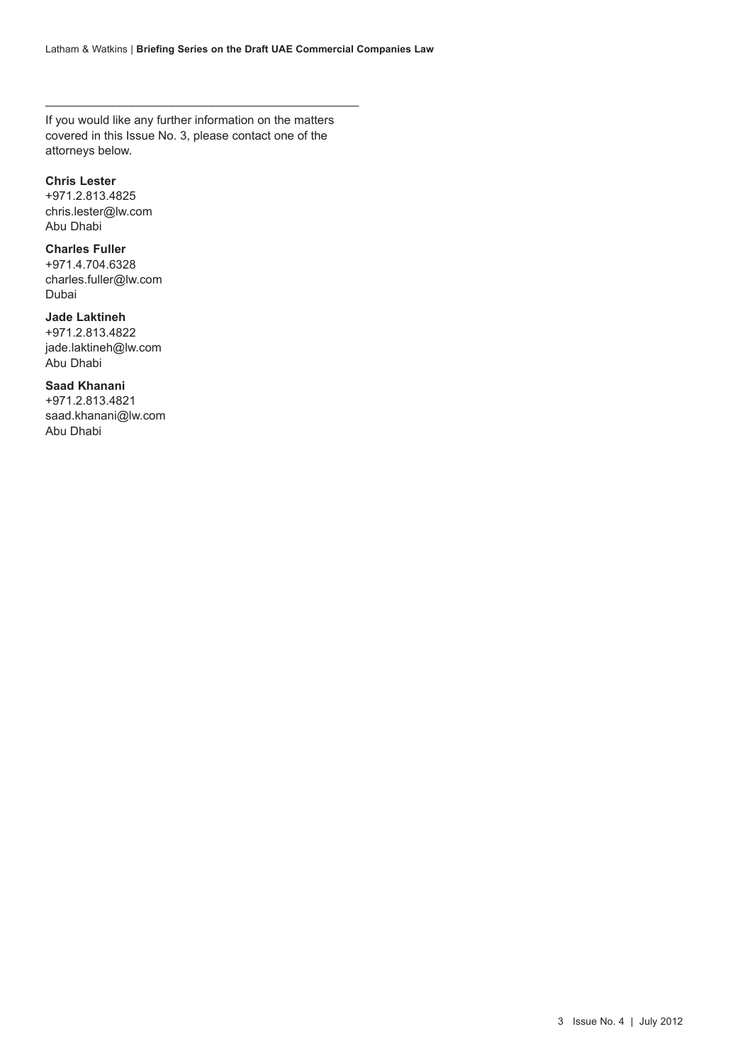If you would like any further information on the matters covered in this Issue No. 3, please contact one of the attorneys below.

 $\_$  ,  $\_$  ,  $\_$  ,  $\_$  ,  $\_$  ,  $\_$  ,  $\_$  ,  $\_$  ,  $\_$  ,  $\_$  ,  $\_$  ,  $\_$  ,  $\_$  ,  $\_$  ,  $\_$  ,  $\_$  ,  $\_$  ,  $\_$  ,  $\_$  ,  $\_$  ,  $\_$  ,  $\_$  ,  $\_$  ,  $\_$  ,  $\_$  ,  $\_$  ,  $\_$  ,  $\_$  ,  $\_$  ,  $\_$  ,  $\_$  ,  $\_$  ,  $\_$  ,  $\_$  ,  $\_$  ,  $\_$  ,  $\_$  ,

#### **Chris Lester**

+971.2.813.4825 chris.lester@lw.com Abu Dhabi

#### **Charles Fuller**

+971.4.704.6328 charles.fuller@lw.com Dubai

### **Jade Laktineh**

+971.2.813.4822 jade.laktineh@lw.com Abu Dhabi

#### **Saad Khanani**

+971.2.813.4821 saad.khanani@lw.com Abu Dhabi